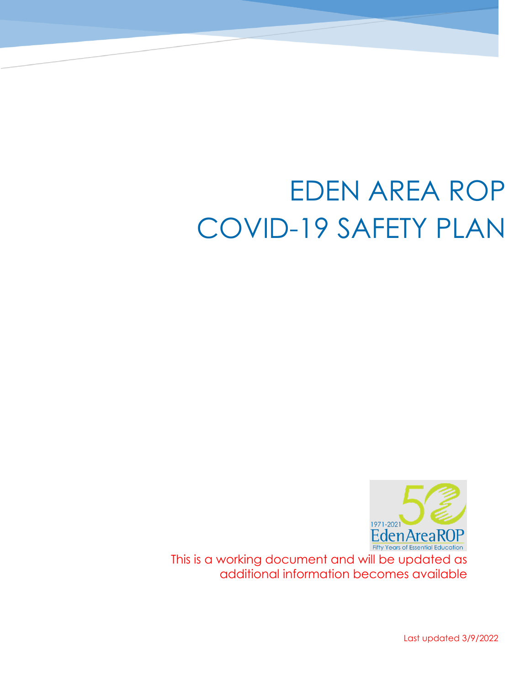# EDEN AREA ROP COVID-19 SAFETY PLAN



This is a working document and will be updated as additional information becomes available

Last updated 3/9/2022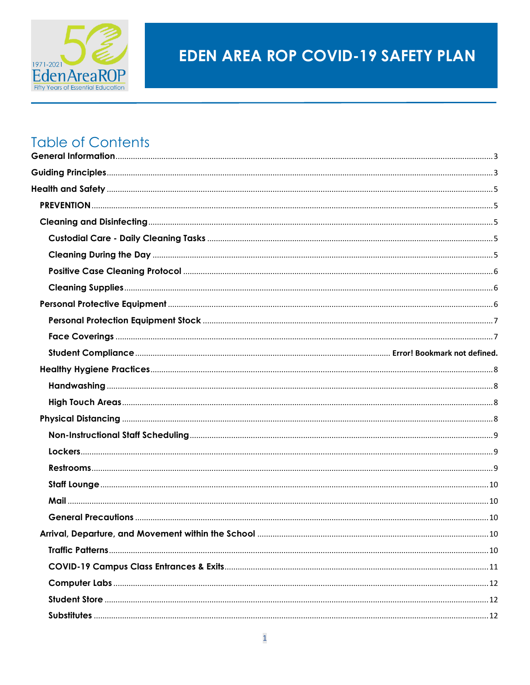

# **EDEN AREA ROP COVID-19 SAFETY PLAN**

## **Table of Contents**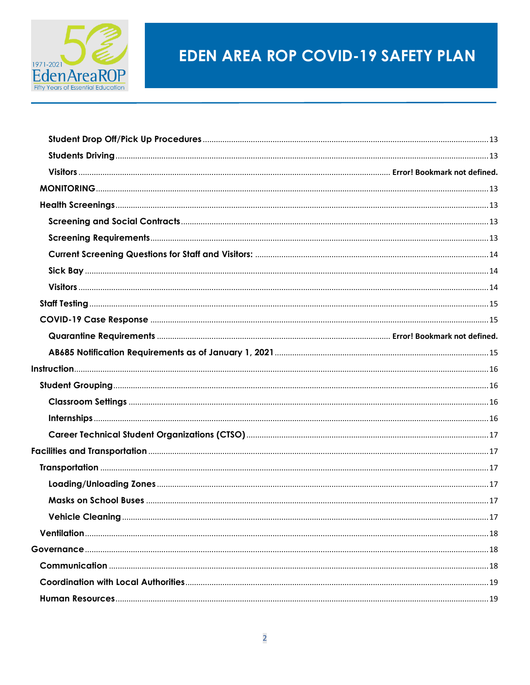

# **EDEN AREA ROP COVID-19 SAFETY PLAN**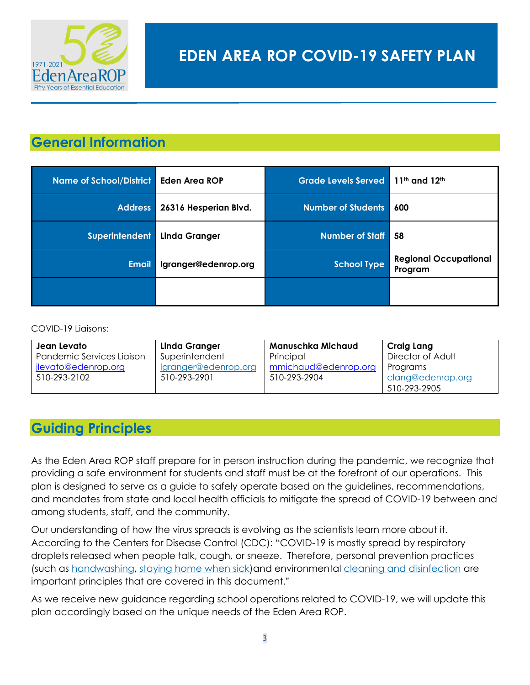

## <span id="page-3-0"></span>**General Information**

| <b>Name of School/District</b> | Eden Area ROP         | Grade Levels Served 11th and 12th |                                         |
|--------------------------------|-----------------------|-----------------------------------|-----------------------------------------|
| <b>Address</b>                 | 26316 Hesperian Blvd. | <b>Number of Students</b>         | 600                                     |
| <b>Superintendent</b>          | <b>Linda Granger</b>  | <b>Number of Staff</b>            | -58                                     |
| <b>Email</b>                   | Igranger@edenrop.org  | <b>School Type</b>                | <b>Regional Occupational</b><br>Program |
|                                |                       |                                   |                                         |

#### COVID-19 Liaisons:

| Jean Levato               | Linda Granger        | Manuschka Michaud    | Craig Lang        |
|---------------------------|----------------------|----------------------|-------------------|
| Pandemic Services Liaison | Superintendent       | Principal            | Director of Adult |
| jlevato@edenrop.org       | Igranger@edenrop.org | mmichaud@edenrop.org | Programs          |
| 510-293-2102              | 510-293-2901         | 510-293-2904         | clang@edenrop.org |
|                           |                      |                      | 510-293-2905      |

## <span id="page-3-1"></span>**Guiding Principles**

As the Eden Area ROP staff prepare for in person instruction during the pandemic, we recognize that providing a safe environment for students and staff must be at the forefront of our operations. This plan is designed to serve as a guide to safely operate based on the guidelines, recommendations, and mandates from state and local health officials to mitigate the spread of COVID-19 between and among students, staff, and the community.

Our understanding of how the virus spreads is evolving as the scientists learn more about it. According to the Centers for Disease Control (CDC): "COVID-19 is mostly spread by respiratory droplets released when people talk, cough, or sneeze. Therefore, personal prevention practices (such as [handwashing,](https://www.cdc.gov/handwashing/when-how-handwashing.html) [staying home when sick\)](https://www.cdc.gov/coronavirus/2019-ncov/if-you-are-sick/steps-when-sick.html)and environmental [cleaning and disinfection](https://www.cdc.gov/coronavirus/2019-ncov/community/disinfecting-building-facility.html) are important principles that are covered in this document."

As we receive new guidance regarding school operations related to COVID-19, we will update this plan accordingly based on the unique needs of the Eden Area ROP.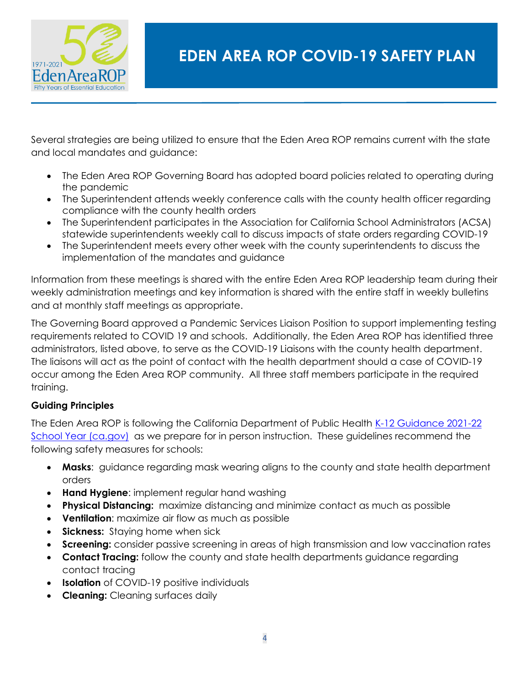

Several strategies are being utilized to ensure that the Eden Area ROP remains current with the state and local mandates and guidance:

- The Eden Area ROP Governing Board has adopted board policies related to operating during the pandemic
- The Superintendent attends weekly conference calls with the county health officer regarding compliance with the county health orders
- The Superintendent participates in the Association for California School Administrators (ACSA) statewide superintendents weekly call to discuss impacts of state orders regarding COVID-19
- The Superintendent meets every other week with the county superintendents to discuss the implementation of the mandates and guidance

Information from these meetings is shared with the entire Eden Area ROP leadership team during their weekly administration meetings and key information is shared with the entire staff in weekly bulletins and at monthly staff meetings as appropriate.

The Governing Board approved a Pandemic Services Liaison Position to support implementing testing requirements related to COVID 19 and schools. Additionally, the Eden Area ROP has identified three administrators, listed above, to serve as the COVID-19 Liaisons with the county health department. The liaisons will act as the point of contact with the health department should a case of COVID-19 occur among the Eden Area ROP community. All three staff members participate in the required training.

#### **Guiding Principles**

The Eden Area ROP is following the California Department of Public Health K-12 Guidance 2021-22 [School Year \(ca.gov\)](https://www.cdph.ca.gov/Programs/CID/DCDC/Pages/COVID-19/K-12-Guidance-2021-22-School-Year.aspx) as we prepare for in person instruction. These guidelines recommend the following safety measures for schools:

- **Masks**: guidance regarding mask wearing aligns to the county and state health department orders
- **Hand Hygiene**: implement regular hand washing
- **Physical Distancing:** maximize distancing and minimize contact as much as possible
- **Ventilation**: maximize air flow as much as possible
- **Sickness:** Staying home when sick
- **Screening:** consider passive screening in areas of high transmission and low vaccination rates
- **Contact Tracing:** follow the county and state health departments guidance regarding contact tracing
- **Isolation** of COVID-19 positive individuals
- **Cleaning:** Cleaning surfaces daily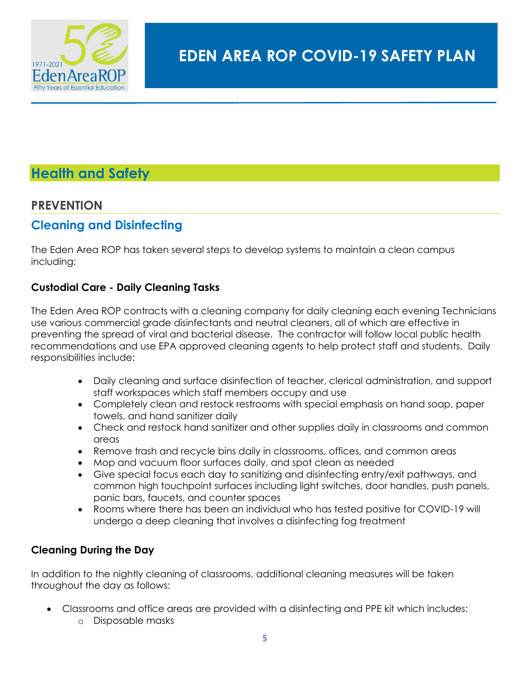

## <span id="page-5-0"></span>**Health and Safety**

## <span id="page-5-1"></span>**PREVENTION**

## <span id="page-5-2"></span>**Cleaning and Disinfecting**

The Eden Area ROP has taken several steps to develop systems to maintain a clean campus including:

#### <span id="page-5-3"></span>**Custodial Care - Daily Cleaning Tasks**

The Eden Area ROP contracts with a cleaning company for daily cleaning each evening Technicians use various commercial grade disinfectants and neutral cleaners, all of which are effective in preventing the spread of viral and bacterial disease. The contractor will follow local public health recommendations and use EPA approved cleaning agents to help protect staff and students. Daily responsibilities include:

- Daily cleaning and surface disinfection of teacher, clerical administration, and support staff workspaces which staff members occupy and use
- Completely clean and restock restrooms with special emphasis on hand soap, paper towels, and hand sanitizer daily
- Check and restock hand sanitizer and other supplies daily in classrooms and common areas
- Remove trash and recycle bins daily in classrooms, offices, and common areas
- Mop and vacuum floor surfaces daily, and spot clean as needed
- Give special focus each day to sanitizing and disinfecting entry/exit pathways, and common high touchpoint surfaces including light switches, door handles, push panels, panic bars, faucets, and counter spaces
- Rooms where there has been an individual who has tested positive for COVID-19 will undergo a deep cleaning that involves a disinfecting fog treatment

#### <span id="page-5-4"></span>**Cleaning During the Day**

In addition to the nightly cleaning of classrooms, additional cleaning measures will be taken throughout the day as follows:

- Classrooms and office areas are provided with a disinfecting and PPE kit which includes:
	- o Disposable masks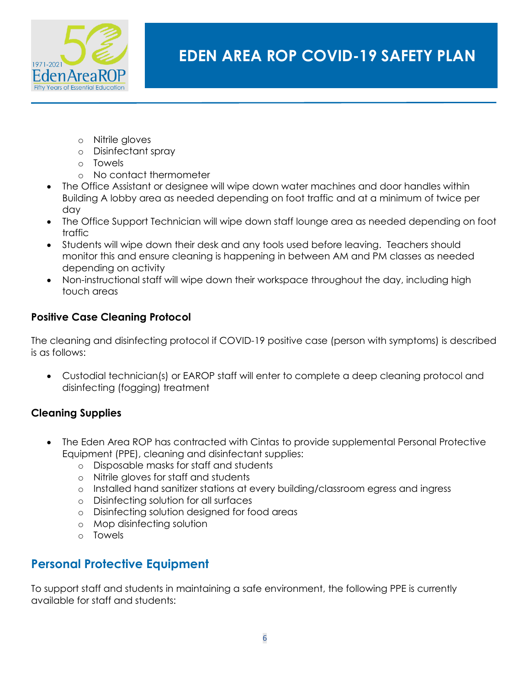

- o Nitrile gloves
- o Disinfectant spray
- o Towels
- o No contact thermometer
- The Office Assistant or designee will wipe down water machines and door handles within Building A lobby area as needed depending on foot traffic and at a minimum of twice per day
- The Office Support Technician will wipe down staff lounge area as needed depending on foot traffic
- Students will wipe down their desk and any tools used before leaving. Teachers should monitor this and ensure cleaning is happening in between AM and PM classes as needed depending on activity
- Non-instructional staff will wipe down their workspace throughout the day, including high touch areas

#### <span id="page-6-0"></span>**Positive Case Cleaning Protocol**

The cleaning and disinfecting protocol if COVID-19 positive case (person with symptoms) is described is as follows:

• Custodial technician(s) or EAROP staff will enter to complete a deep cleaning protocol and disinfecting (fogging) treatment

#### <span id="page-6-1"></span>**Cleaning Supplies**

- The Eden Area ROP has contracted with Cintas to provide supplemental Personal Protective Equipment (PPE), cleaning and disinfectant supplies:
	- o Disposable masks for staff and students
	- o Nitrile gloves for staff and students
	- o Installed hand sanitizer stations at every building/classroom egress and ingress
	- o Disinfecting solution for all surfaces
	- o Disinfecting solution designed for food areas
	- o Mop disinfecting solution
	- o Towels

## <span id="page-6-2"></span>**Personal Protective Equipment**

To support staff and students in maintaining a safe environment, the following PPE is currently available for staff and students: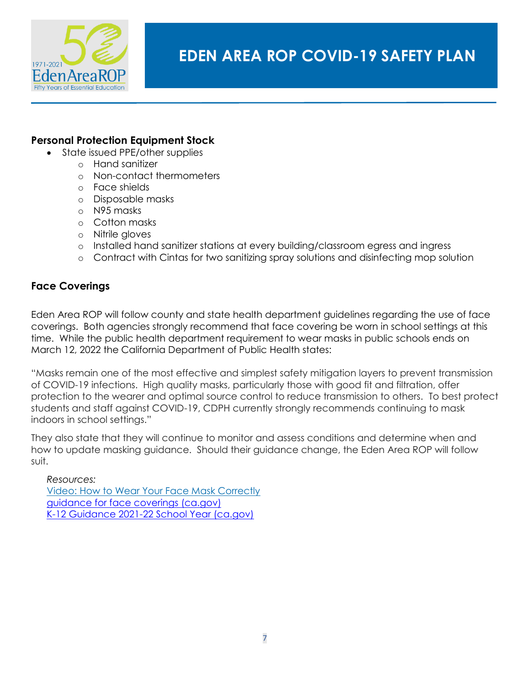

#### <span id="page-7-0"></span>**Personal Protection Equipment Stock**

- State issued PPE/other supplies
	- o Hand sanitizer
	- o Non-contact thermometers
	- o Face shields
	- o Disposable masks
	- o N95 masks
	- o Cotton masks
	- o Nitrile gloves
	- o Installed hand sanitizer stations at every building/classroom egress and ingress
	- o Contract with Cintas for two sanitizing spray solutions and disinfecting mop solution

#### <span id="page-7-1"></span>**Face Coverings**

Eden Area ROP will follow county and state health department guidelines regarding the use of face coverings. Both agencies strongly recommend that face covering be worn in school settings at this time. While the public health department requirement to wear masks in public schools ends on March 12, 2022 the California Department of Public Health states:

"Masks remain one of the most effective and simplest safety mitigation layers to prevent transmission of COVID-19 infections. High quality masks, particularly those with good fit and filtration, offer protection to the wearer and optimal source control to reduce transmission to others. To best protect students and staff against COVID-19, CDPH currently strongly recommends continuing to mask indoors in school settings."

They also state that they will continue to monitor and assess conditions and determine when and how to update masking guidance. Should their guidance change, the Eden Area ROP will follow suit.

#### *Resources:*

[Video: How to Wear Your Face Mask Correctly](https://youtu.be/dSvff0QljHQ) [guidance for face coverings \(ca.gov\)](https://www.cdph.ca.gov/Programs/CID/DCDC/Pages/COVID-19/guidance-for-face-coverings.aspx) [K-12 Guidance 2021-22 School Year \(ca.gov\)](https://www.cdph.ca.gov/Programs/CID/DCDC/Pages/COVID-19/K-12-Guidance-2021-22-School-Year.aspx)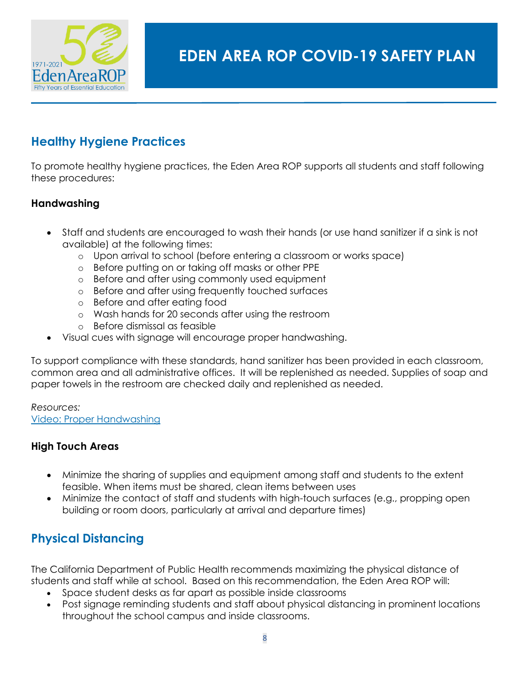

## <span id="page-8-0"></span>**Healthy Hygiene Practices**

To promote healthy hygiene practices, the Eden Area ROP supports all students and staff following these procedures:

#### <span id="page-8-1"></span>**Handwashing**

- Staff and students are encouraged to wash their hands (or use hand sanitizer if a sink is not available) at the following times:
	- o Upon arrival to school (before entering a classroom or works space)
	- o Before putting on or taking off masks or other PPE
	- o Before and after using commonly used equipment
	- o Before and after using frequently touched surfaces
	- o Before and after eating food
	- o Wash hands for 20 seconds after using the restroom
	- o Before dismissal as feasible
	- Visual cues with signage will encourage proper handwashing.

To support compliance with these standards, hand sanitizer has been provided in each classroom, common area and all administrative offices. It will be replenished as needed. Supplies of soap and paper towels in the restroom are checked daily and replenished as needed.

*Resources:* [Video: Proper Handwashing](https://youtu.be/XnJ1wvlIcbs)

#### <span id="page-8-2"></span>**High Touch Areas**

- Minimize the sharing of supplies and equipment among staff and students to the extent feasible. When items must be shared, clean items between uses
- Minimize the contact of staff and students with high-touch surfaces (e.g., propping open building or room doors, particularly at arrival and departure times)

## <span id="page-8-3"></span>**Physical Distancing**

The California Department of Public Health recommends maximizing the physical distance of students and staff while at school. Based on this recommendation, the Eden Area ROP will:

- Space student desks as far apart as possible inside classrooms
- Post signage reminding students and staff about physical distancing in prominent locations throughout the school campus and inside classrooms.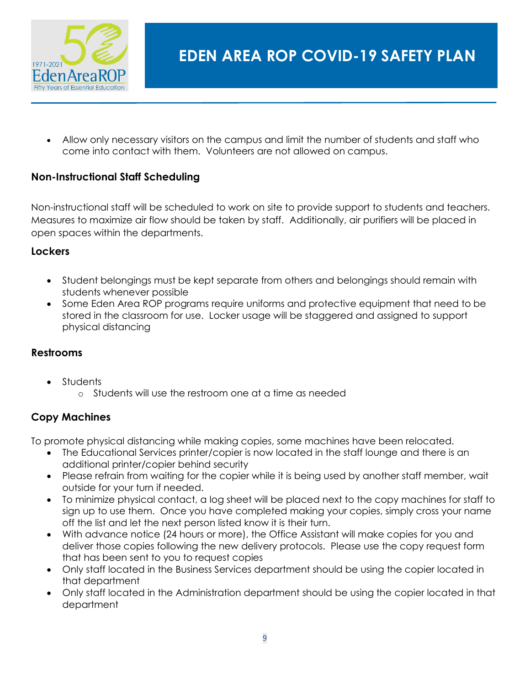

• Allow only necessary visitors on the campus and limit the number of students and staff who come into contact with them. Volunteers are not allowed on campus.

#### <span id="page-9-0"></span>**Non-Instructional Staff Scheduling**

Non-instructional staff will be scheduled to work on site to provide support to students and teachers. Measures to maximize air flow should be taken by staff. Additionally, air purifiers will be placed in open spaces within the departments.

#### <span id="page-9-1"></span>**Lockers**

- Student belongings must be kept separate from others and belongings should remain with students whenever possible
- Some Eden Area ROP programs require uniforms and protective equipment that need to be stored in the classroom for use. Locker usage will be staggered and assigned to support physical distancing

#### <span id="page-9-2"></span>**Restrooms**

- Students
	- o Students will use the restroom one at a time as needed

#### **Copy Machines**

To promote physical distancing while making copies, some machines have been relocated.

- The Educational Services printer/copier is now located in the staff lounge and there is an additional printer/copier behind security
- Please refrain from waiting for the copier while it is being used by another staff member, wait outside for your turn if needed.
- To minimize physical contact, a log sheet will be placed next to the copy machines for staff to sign up to use them. Once you have completed making your copies, simply cross your name off the list and let the next person listed know it is their turn.
- With advance notice (24 hours or more), the Office Assistant will make copies for you and deliver those copies following the new delivery protocols. Please use the copy request form that has been sent to you to request copies
- Only staff located in the Business Services department should be using the copier located in that department
- Only staff located in the Administration department should be using the copier located in that department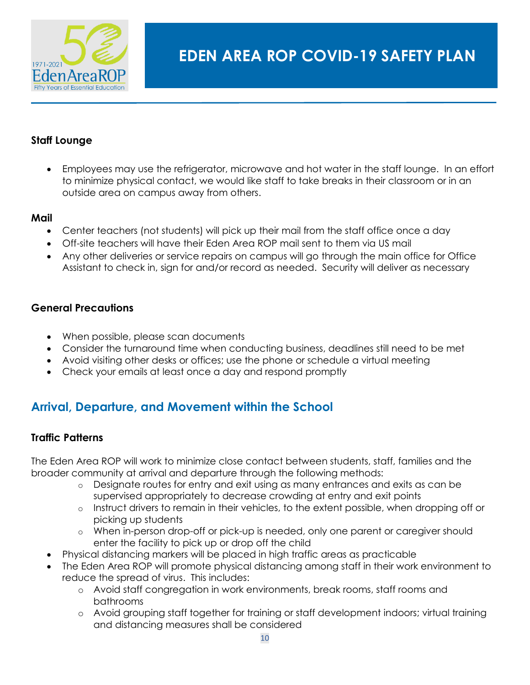

#### <span id="page-10-0"></span>**Staff Lounge**

• Employees may use the refrigerator, microwave and hot water in the staff lounge. In an effort to minimize physical contact, we would like staff to take breaks in their classroom or in an outside area on campus away from others.

#### <span id="page-10-1"></span>**Mail**

- Center teachers (not students) will pick up their mail from the staff office once a day
- Off-site teachers will have their Eden Area ROP mail sent to them via US mail
- Any other deliveries or service repairs on campus will go through the main office for Office Assistant to check in, sign for and/or record as needed. Security will deliver as necessary

#### <span id="page-10-2"></span>**General Precautions**

- When possible, please scan documents
- Consider the turnaround time when conducting business, deadlines still need to be met
- Avoid visiting other desks or offices; use the phone or schedule a virtual meeting
- Check your emails at least once a day and respond promptly

## <span id="page-10-3"></span>**Arrival, Departure, and Movement within the School**

#### <span id="page-10-4"></span>**Traffic Patterns**

The Eden Area ROP will work to minimize close contact between students, staff, families and the broader community at arrival and departure through the following methods:

- o Designate routes for entry and exit using as many entrances and exits as can be supervised appropriately to decrease crowding at entry and exit points
- o Instruct drivers to remain in their vehicles, to the extent possible, when dropping off or picking up students
- o When in-person drop-off or pick-up is needed, only one parent or caregiver should enter the facility to pick up or drop off the child
- Physical distancing markers will be placed in high traffic areas as practicable
- The Eden Area ROP will promote physical distancing among staff in their work environment to reduce the spread of virus. This includes:
	- o Avoid staff congregation in work environments, break rooms, staff rooms and bathrooms
	- o Avoid grouping staff together for training or staff development indoors; virtual training and distancing measures shall be considered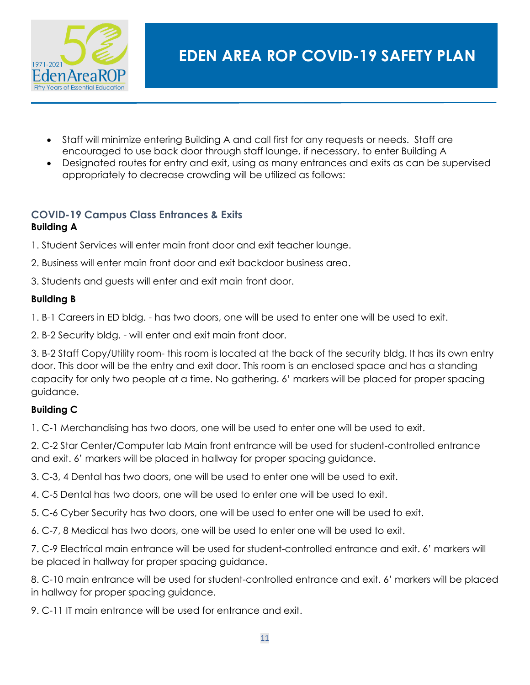

- Staff will minimize entering Building A and call first for any requests or needs. Staff are encouraged to use back door through staff lounge, if necessary, to enter Building A
- Designated routes for entry and exit, using as many entrances and exits as can be supervised appropriately to decrease crowding will be utilized as follows:

#### <span id="page-11-0"></span>**COVID-19 Campus Class Entrances & Exits Building A**

1. Student Services will enter main front door and exit teacher lounge.

- 2. Business will enter main front door and exit backdoor business area.
- 3. Students and guests will enter and exit main front door.

#### **Building B**

1. B-1 Careers in ED bldg. - has two doors, one will be used to enter one will be used to exit.

2. B-2 Security bldg. - will enter and exit main front door.

3. B-2 Staff Copy/Utility room- this room is located at the back of the security bldg. It has its own entry door. This door will be the entry and exit door. This room is an enclosed space and has a standing capacity for only two people at a time. No gathering. 6' markers will be placed for proper spacing guidance.

#### **Building C**

1. C-1 Merchandising has two doors, one will be used to enter one will be used to exit.

2. C-2 Star Center/Computer lab Main front entrance will be used for student-controlled entrance and exit. 6' markers will be placed in hallway for proper spacing guidance.

- 3. C-3, 4 Dental has two doors, one will be used to enter one will be used to exit.
- 4. C-5 Dental has two doors, one will be used to enter one will be used to exit.
- 5. C-6 Cyber Security has two doors, one will be used to enter one will be used to exit.
- 6. C-7, 8 Medical has two doors, one will be used to enter one will be used to exit.

7. C-9 Electrical main entrance will be used for student-controlled entrance and exit. 6' markers will be placed in hallway for proper spacing guidance.

8. C-10 main entrance will be used for student-controlled entrance and exit. 6' markers will be placed in hallway for proper spacing guidance.

9. C-11 IT main entrance will be used for entrance and exit.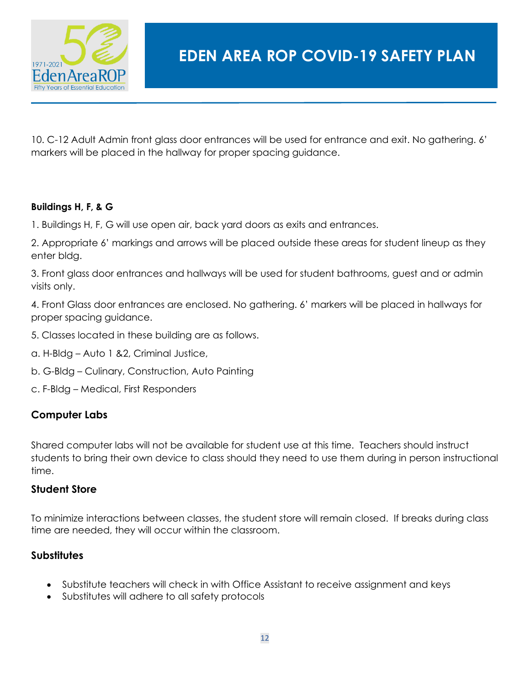

10. C-12 Adult Admin front glass door entrances will be used for entrance and exit. No gathering. 6' markers will be placed in the hallway for proper spacing guidance.

#### **Buildings H, F, & G**

1. Buildings H, F, G will use open air, back yard doors as exits and entrances.

2. Appropriate 6' markings and arrows will be placed outside these areas for student lineup as they enter bldg.

3. Front glass door entrances and hallways will be used for student bathrooms, guest and or admin visits only.

4. Front Glass door entrances are enclosed. No gathering. 6' markers will be placed in hallways for proper spacing guidance.

- 5. Classes located in these building are as follows.
- a. H-Bldg Auto 1 &2, Criminal Justice,
- b. G-Bldg Culinary, Construction, Auto Painting
- c. F-Bldg Medical, First Responders

#### <span id="page-12-0"></span>**Computer Labs**

Shared computer labs will not be available for student use at this time. Teachers should instruct students to bring their own device to class should they need to use them during in person instructional time.

#### <span id="page-12-1"></span>**Student Store**

To minimize interactions between classes, the student store will remain closed. If breaks during class time are needed, they will occur within the classroom.

#### <span id="page-12-2"></span>**Substitutes**

- Substitute teachers will check in with Office Assistant to receive assignment and keys
- Substitutes will adhere to all safety protocols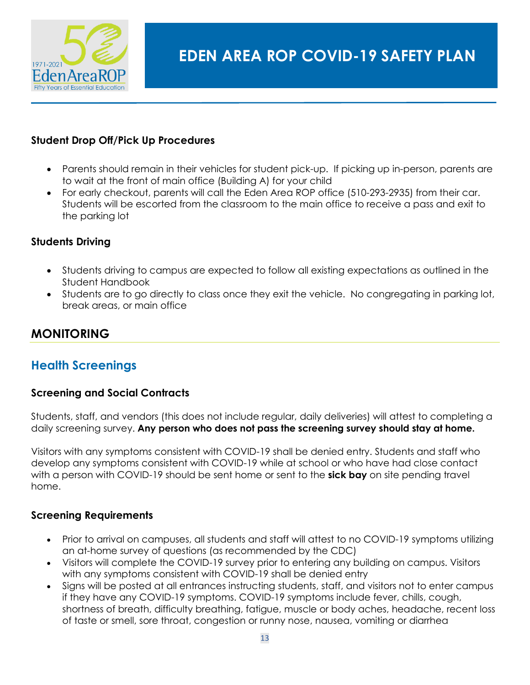

#### <span id="page-13-0"></span>**Student Drop Off/Pick Up Procedures**

- Parents should remain in their vehicles for student pick-up. If picking up in-person, parents are to wait at the front of main office (Building A) for your child
- For early checkout, parents will call the Eden Area ROP office (510-293-2935) from their car. Students will be escorted from the classroom to the main office to receive a pass and exit to the parking lot

#### <span id="page-13-1"></span>**Students Driving**

- Students driving to campus are expected to follow all existing expectations as outlined in the Student Handbook
- Students are to go directly to class once they exit the vehicle. No congregating in parking lot, break areas, or main office

## <span id="page-13-2"></span>**MONITORING**

## <span id="page-13-3"></span>**Health Screenings**

#### <span id="page-13-4"></span>**Screening and Social Contracts**

Students, staff, and vendors (this does not include regular, daily deliveries) will attest to completing a daily screening survey. **Any person who does not pass the screening survey should stay at home.** 

Visitors with any symptoms consistent with COVID-19 shall be denied entry. Students and staff who develop any symptoms consistent with COVID-19 while at school or who have had close contact with a person with COVID-19 should be sent home or sent to the **sick bay** on site pending travel home.

#### <span id="page-13-5"></span>**Screening Requirements**

- Prior to arrival on campuses, all students and staff will attest to no COVID-19 symptoms utilizing an at-home survey of questions (as recommended by the CDC)
- Visitors will complete the COVID-19 survey prior to entering any building on campus. Visitors with any symptoms consistent with COVID-19 shall be denied entry
- Signs will be posted at all entrances instructing students, staff, and visitors not to enter campus if they have any COVID-19 symptoms. COVID-19 symptoms include fever, chills, cough, shortness of breath, difficulty breathing, fatigue, muscle or body aches, headache, recent loss of taste or smell, sore throat, congestion or runny nose, nausea, vomiting or diarrhea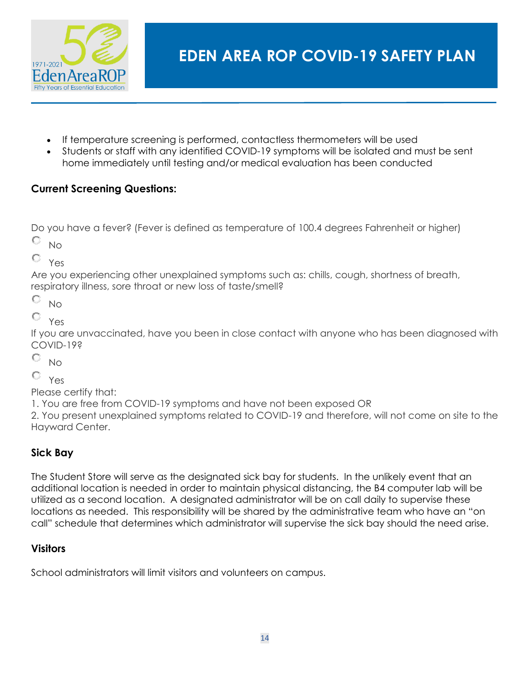

- If temperature screening is performed, contactless thermometers will be used
- Students or staff with any identified COVID-19 symptoms will be isolated and must be sent home immediately until testing and/or medical evaluation has been conducted

## <span id="page-14-0"></span>**Current Screening Questions:**

Do you have a fever? (Fever is defined as temperature of 100.4 degrees Fahrenheit or higher)

О No

О. Yes

Are you experiencing other unexplained symptoms such as: chills, cough, shortness of breath, respiratory illness, sore throat or new loss of taste/smell?

О No

О. Yes

If you are unvaccinated, have you been in close contact with anyone who has been diagnosed with COVID-19?

О. No

0 Yes

Please certify that:

1. You are free from COVID-19 symptoms and have not been exposed OR

2. You present unexplained symptoms related to COVID-19 and therefore, will not come on site to the Hayward Center.

## <span id="page-14-1"></span>**Sick Bay**

The Student Store will serve as the designated sick bay for students. In the unlikely event that an additional location is needed in order to maintain physical distancing, the B4 computer lab will be utilized as a second location. A designated administrator will be on call daily to supervise these locations as needed. This responsibility will be shared by the administrative team who have an "on call" schedule that determines which administrator will supervise the sick bay should the need arise.

#### <span id="page-14-2"></span>**Visitors**

School administrators will limit visitors and volunteers on campus.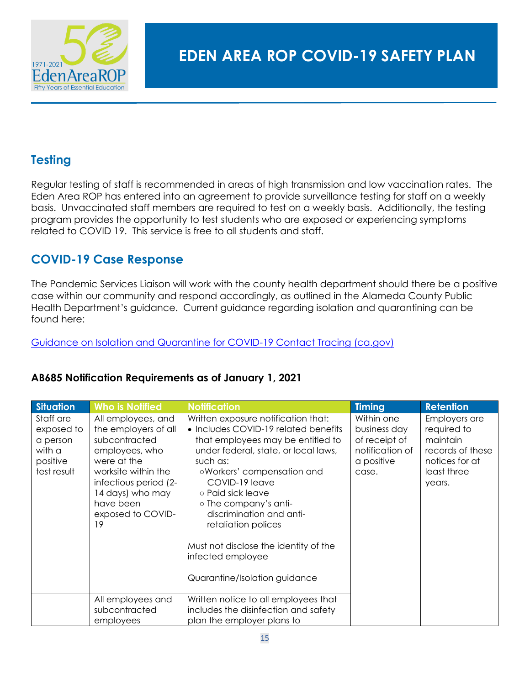

## <span id="page-15-0"></span>**Testing**

Regular testing of staff is recommended in areas of high transmission and low vaccination rates. The Eden Area ROP has entered into an agreement to provide surveillance testing for staff on a weekly basis. Unvaccinated staff members are required to test on a weekly basis. Additionally, the testing program provides the opportunity to test students who are exposed or experiencing symptoms related to COVID 19. This service is free to all students and staff.

## <span id="page-15-1"></span>**COVID-19 Case Response**

The Pandemic Services Liaison will work with the county health department should there be a positive case within our community and respond accordingly, as outlined in the Alameda County Public Health Department's guidance. Current guidance regarding isolation and quarantining can be found here:

[Guidance on Isolation and Quarantine for COVID-19 Contact Tracing \(ca.gov\)](https://www.cdph.ca.gov/Programs/CID/DCDC/Pages/COVID-19/Guidance-on-Isolation-and-Quarantine-for-COVID-19-Contact-Tracing.aspx)

| <b>Situation</b>                                                         | <b>Who is Notified</b>                                                                                                                                                                                   | <b>Notification</b>                                                                                                                                                                                                                                                                                                                                                                                                  | <b>Timing</b>                                                                         | <b>Retention</b>                                                                                        |
|--------------------------------------------------------------------------|----------------------------------------------------------------------------------------------------------------------------------------------------------------------------------------------------------|----------------------------------------------------------------------------------------------------------------------------------------------------------------------------------------------------------------------------------------------------------------------------------------------------------------------------------------------------------------------------------------------------------------------|---------------------------------------------------------------------------------------|---------------------------------------------------------------------------------------------------------|
| Staff are<br>exposed to<br>a person<br>with a<br>positive<br>test result | All employees, and<br>the employers of all<br>subcontracted<br>employees, who<br>were at the<br>worksite within the<br>infectious period (2-<br>14 days) who may<br>have been<br>exposed to COVID-<br>19 | Written exposure notification that:<br>• Includes COVID-19 related benefits<br>that employees may be entitled to<br>under federal, state, or local laws,<br>such as:<br>oWorkers' compensation and<br>COVID-19 leave<br>○ Paid sick leave<br>o The company's anti-<br>discrimination and anti-<br>retaliation polices<br>Must not disclose the identity of the<br>infected employee<br>Quarantine/Isolation guidance | Within one<br>business day<br>of receipt of<br>notification of<br>a positive<br>case. | Employers are<br>required to<br>maintain<br>records of these<br>notices for at<br>least three<br>years. |
|                                                                          | All employees and<br>subcontracted<br>employees                                                                                                                                                          | Written notice to all employees that<br>includes the disinfection and safety<br>plan the employer plans to                                                                                                                                                                                                                                                                                                           |                                                                                       |                                                                                                         |

## <span id="page-15-2"></span>**AB685 Notification Requirements as of January 1, 2021**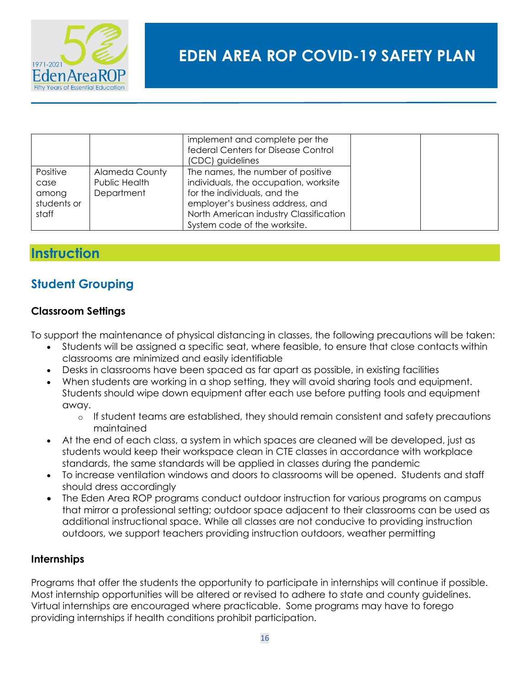

|                                                   |                                                      | implement and complete per the<br>federal Centers for Disease Control<br>(CDC) guidelines                                                                                                                                |
|---------------------------------------------------|------------------------------------------------------|--------------------------------------------------------------------------------------------------------------------------------------------------------------------------------------------------------------------------|
| Positive<br>case<br>among<br>students or<br>staff | <b>Alameda County</b><br>Public Health<br>Department | The names, the number of positive<br>individuals, the occupation, worksite<br>for the individuals, and the<br>employer's business address, and<br>North American industry Classification<br>System code of the worksite. |

## <span id="page-16-0"></span>**Instruction**

## <span id="page-16-1"></span>**Student Grouping**

#### <span id="page-16-2"></span>**Classroom Settings**

To support the maintenance of physical distancing in classes, the following precautions will be taken:

- Students will be assigned a specific seat, where feasible, to ensure that close contacts within classrooms are minimized and easily identifiable
- Desks in classrooms have been spaced as far apart as possible, in existing facilities
- When students are working in a shop setting, they will avoid sharing tools and equipment. Students should wipe down equipment after each use before putting tools and equipment away.
	- $\circ$  If student teams are established, they should remain consistent and safety precautions maintained
- At the end of each class, a system in which spaces are cleaned will be developed, just as students would keep their workspace clean in CTE classes in accordance with workplace standards, the same standards will be applied in classes during the pandemic
- To increase ventilation windows and doors to classrooms will be opened. Students and staff should dress accordingly
- The Eden Area ROP programs conduct outdoor instruction for various programs on campus that mirror a professional setting; outdoor space adjacent to their classrooms can be used as additional instructional space. While all classes are not conducive to providing instruction outdoors, we support teachers providing instruction outdoors, weather permitting

#### <span id="page-16-3"></span>**Internships**

Programs that offer the students the opportunity to participate in internships will continue if possible. Most internship opportunities will be altered or revised to adhere to state and county guidelines. Virtual internships are encouraged where practicable. Some programs may have to forego providing internships if health conditions prohibit participation.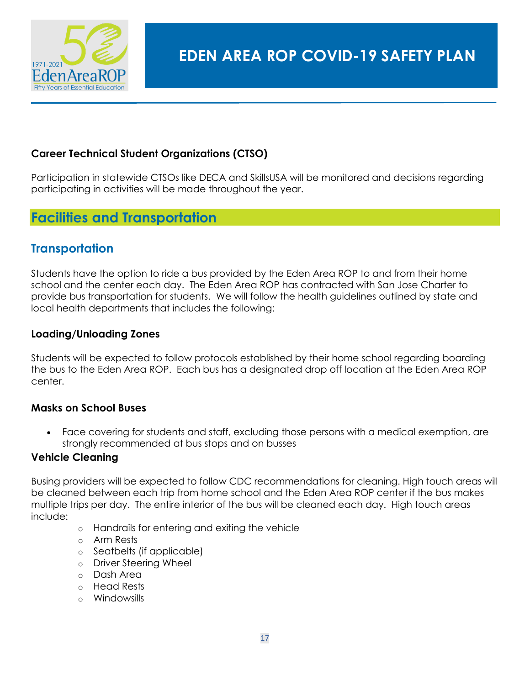

#### <span id="page-17-0"></span>**Career Technical Student Organizations (CTSO)**

Participation in statewide CTSOs like DECA and SkillsUSA will be monitored and decisions regarding participating in activities will be made throughout the year.

## <span id="page-17-1"></span>**Facilities and Transportation**

## <span id="page-17-2"></span>**Transportation**

Students have the option to ride a bus provided by the Eden Area ROP to and from their home school and the center each day. The Eden Area ROP has contracted with San Jose Charter to provide bus transportation for students. We will follow the health guidelines outlined by state and local health departments that includes the following:

#### <span id="page-17-3"></span>**Loading/Unloading Zones**

Students will be expected to follow protocols established by their home school regarding boarding the bus to the Eden Area ROP. Each bus has a designated drop off location at the Eden Area ROP center.

#### <span id="page-17-4"></span>**Masks on School Buses**

• Face covering for students and staff, excluding those persons with a medical exemption, are strongly recommended at bus stops and on busses

#### <span id="page-17-5"></span>**Vehicle Cleaning**

Busing providers will be expected to follow CDC recommendations for cleaning. High touch areas will be cleaned between each trip from home school and the Eden Area ROP center if the bus makes multiple trips per day. The entire interior of the bus will be cleaned each day. High touch areas include:

- o Handrails for entering and exiting the vehicle
- o Arm Rests
- o Seatbelts (if applicable)
- o Driver Steering Wheel
- o Dash Area
- o Head Rests
- o Windowsills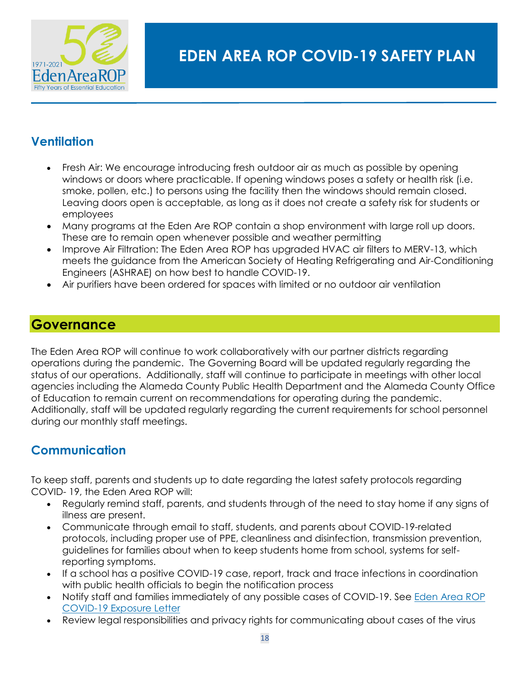

## <span id="page-18-0"></span>**Ventilation**

- Fresh Air: We encourage introducing fresh outdoor air as much as possible by opening windows or doors where practicable. If opening windows poses a safety or health risk (i.e. smoke, pollen, etc.) to persons using the facility then the windows should remain closed. Leaving doors open is acceptable, as long as it does not create a safety risk for students or employees
- Many programs at the Eden Are ROP contain a shop environment with large roll up doors. These are to remain open whenever possible and weather permitting
- Improve Air Filtration: The Eden Area ROP has upgraded HVAC air filters to MERV-13, which meets the guidance from the American Society of Heating Refrigerating and Air-Conditioning Engineers (ASHRAE) on how best to handle COVID-19.
- Air purifiers have been ordered for spaces with limited or no outdoor air ventilation

## <span id="page-18-1"></span>**Governance**

The Eden Area ROP will continue to work collaboratively with our partner districts regarding operations during the pandemic. The Governing Board will be updated regularly regarding the status of our operations. Additionally, staff will continue to participate in meetings with other local agencies including the Alameda County Public Health Department and the Alameda County Office of Education to remain current on recommendations for operating during the pandemic. Additionally, staff will be updated regularly regarding the current requirements for school personnel during our monthly staff meetings.

## <span id="page-18-2"></span>**Communication**

To keep staff, parents and students up to date regarding the latest safety protocols regarding COVID- 19, the Eden Area ROP will:

- Regularly remind staff, parents, and students through of the need to stay home if any signs of illness are present.
- Communicate through email to staff, students, and parents about COVID-19-related protocols, including proper use of PPE, cleanliness and disinfection, transmission prevention, guidelines for families about when to keep students home from school, systems for selfreporting symptoms.
- If a school has a positive COVID-19 case, report, track and trace infections in coordination with public health officials to begin the notification process
- Notify staff and families immediately of any possible cases of COVID-19. See [Eden Area ROP](https://edenarearop-my.sharepoint.com/:w:/g/personal/bphelan_edenrop_org/ETaR34QKwmVApHH49TmcGMgBhXAP8OusNFKiZAF-grgJeg?e=7jgrmD)  COVID-19 [Exposure Letter](https://edenarearop-my.sharepoint.com/:w:/g/personal/bphelan_edenrop_org/ETaR34QKwmVApHH49TmcGMgBhXAP8OusNFKiZAF-grgJeg?e=7jgrmD)
- Review legal responsibilities and privacy rights for communicating about cases of the virus